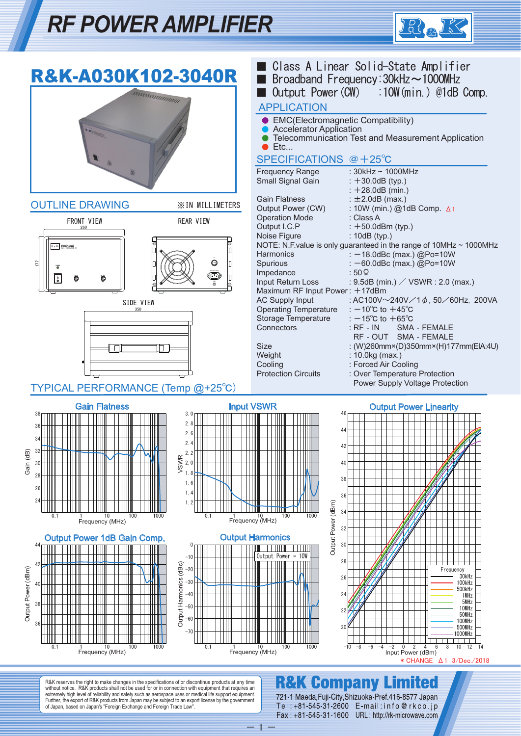## *RF POWER AMPLIFIER*



| R&K-A030K102-3040R<br><i>чинининин</i><br>m<br><b>OUTLINE DRAWING</b><br><b>XIN MILLIMETERS</b>                                                                                                                                                                                                                                                                          | ■ Class A Linear Solid-State Amplifier<br>Broadband Frequency: $30kHz \sim 1000MHz$<br>Output Power (CW) : 10W (min.) @1dB Comp.<br><b>APPLICATION</b><br>• EMC(Electromagnetic Compatibility)<br><b>Accelerator Application</b><br>Telecommunication Test and Measurement Application<br>Etc<br>SPECIFICATIONS @ +25°C<br><b>Frequency Range</b><br>: $30kHz \sim 1000MHz$<br>Small Signal Gain<br>: $+30.0dB$ (typ.)<br>: $+28.0dB$ (min.)<br><b>Gain Flatness</b><br>$\pm 2.0$ dB (max.)<br>Output Power (CW)<br>: 10W (min.) @1dB Comp. △1<br><b>Operation Mode</b><br>: Class A                                                                                                                                                                                                                                                                                              |
|--------------------------------------------------------------------------------------------------------------------------------------------------------------------------------------------------------------------------------------------------------------------------------------------------------------------------------------------------------------------------|-----------------------------------------------------------------------------------------------------------------------------------------------------------------------------------------------------------------------------------------------------------------------------------------------------------------------------------------------------------------------------------------------------------------------------------------------------------------------------------------------------------------------------------------------------------------------------------------------------------------------------------------------------------------------------------------------------------------------------------------------------------------------------------------------------------------------------------------------------------------------------------|
| FRONT VIEW<br><b>REAR VIEW</b><br>260<br>$R$ = $K$ $MSEPEER$<br>$\circ$<br>그<br>$\widehat{\mathbf{\Xi}}$<br>5<br>Ö<br>Ø<br>SIDE VIEW<br>350<br>TYPICAL PERFORMANCE (Temp @+25°C)                                                                                                                                                                                         | Output I.C.P<br>$: +50.0$ dBm (typ.)<br>Noise Figure<br>: 10dB (typ.)<br>NOTE: N.F. value is only guaranteed in the range of 10MHz ~ 1000MHz<br>: $-18.0$ dBc (max.) @Po=10W<br>Harmonics<br>: -60.0dBc (max.) @Po=10W<br>Spurious<br>Impedance<br>$:50\,\Omega$<br>Input Return Loss<br>: 9.5dB (min.) / $VSWR$ : 2.0 (max.)<br>Maximum RF Input Power: +17dBm<br>: AC100V~240V/1 $\phi$ , 50/60Hz, 200VA<br><b>AC Supply Input</b><br><b>Operating Temperature</b><br>: $-10^{\circ}$ C to $+45^{\circ}$ C<br>Storage Temperature<br>: $-15^{\circ}$ C to $+65^{\circ}$ C<br><b>SMA - FEMALE</b><br>Connectors<br>$:$ RF - IN<br>RF - OUT SMA - FEMALE<br>: (W)260mm×(D)350mm×(H)177mm(EIA:4U)<br><b>Size</b><br>Weight<br>: 10.0kg (max.)<br>: Forced Air Cooling<br>Cooling<br>: Over Temperature Protection<br><b>Protection Circuits</b><br>Power Supply Voltage Protection |
| <b>Gain Flatness</b><br>38 <sub>1</sub><br>2.8<br>36<br>║<br>2.6<br>║║<br>2.4<br>Ш<br>32<br>Gain (dB)<br>£<br>2.2<br>IT<br>VSWR<br>2.0<br>30<br>Ш<br>1.8<br>28<br>$\parallel$<br>║<br>╫<br>1.6<br>26<br>$\blacksquare$<br>1.4<br>24<br>Ⅲ<br>1.2<br>0.1<br>10<br>100<br>1000<br>0.1<br>Frequency (MHz)                                                                    | <b>Input VSWR</b><br><b>Output Power Linearity</b><br>46<br>44<br>42<br>40<br>38<br>36<br>34<br>1000<br>100<br>10<br>Frequency (MHz)                                                                                                                                                                                                                                                                                                                                                                                                                                                                                                                                                                                                                                                                                                                                              |
| <b>Output Power 1dB Gain Comp.</b><br>44<br>Ⅲ<br>-10<br>Ш<br>ПШ<br>III<br>Output Harmonics (dBc)<br>42<br>Output Power (dBm)<br>-20<br>Ⅲ<br>$\mathbb T$<br>W<br>$-30$<br>$\blacksquare$<br>║<br>40<br>$\mathbb T$<br>ℿ<br>Ⅲ<br>M<br>-50<br>Ⅲ<br>$\blacksquare$<br>III<br>-60<br>36<br>Ⅲ<br>$\blacksquare$<br>$-70$<br>1000<br>0.1<br>10<br>100<br>0.1<br>Frequency (MHz) | Output Power (dBm)<br>32<br><b>Output Harmonics</b><br>30<br>Output Power $= 10W$<br>28<br>Frequency<br>30kHz<br>26<br>100kHz<br>μш<br>500kHz<br>24<br>1MHz<br>5MHz<br>10MHz<br>22<br>50MHz<br>100MHz<br>20<br>500MHz<br>1000MHz<br>$-2$ 0 2 4 6<br>Input Power (dBm)<br>10<br>12<br>10<br>Frequency (MHz)<br>100<br>1000<br>$-10$<br>$-8$<br>$-6$<br>$-4$<br>6<br>8<br>14<br>* CHANGE △1 3/Dec./2018                                                                                                                                                                                                                                                                                                                                                                                                                                                                             |

R&K reserves the right to make changes in the specifications of or discontinue products at any time<br>without notice. R&K products shall not be used for or in connection with equipment that requires an<br>extremely high level o

**K&R Company Limited** 721-1 Maeda, Fuji-City, Shizuoka-Pref. 416-8577 Japan<br>Tel: +81-545-31-2600 E-mail: info@rkco.jp<br>Fax: +81-545-31-1600 URL: http://rk-microwave.com